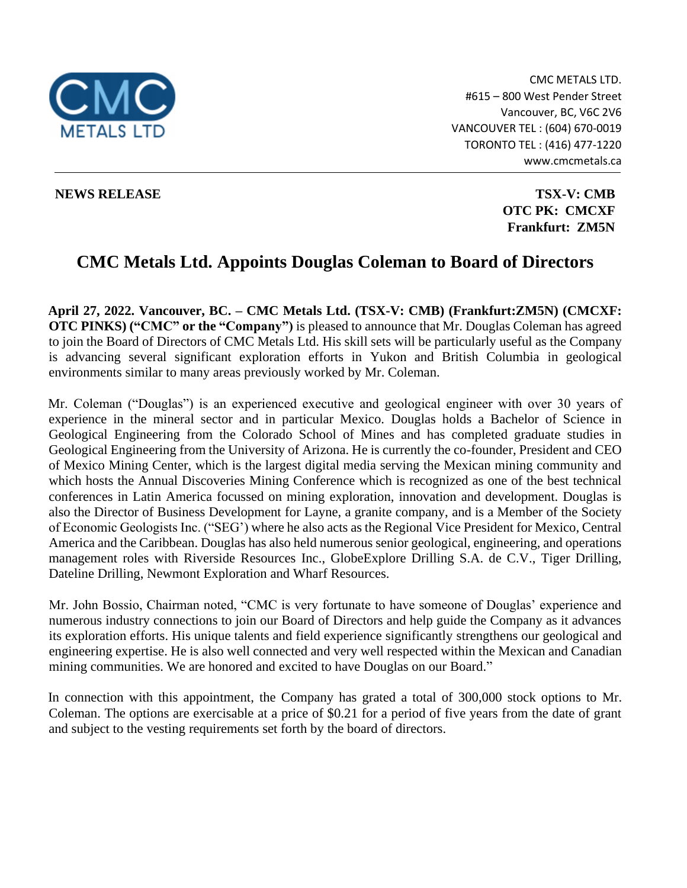

CMC METALS LTD. #615 – 800 West Pender Street Vancouver, BC, V6C 2V6 VANCOUVER TEL : (604) 670-0019 TORONTO TEL : (416) 477-1220 www.cmcmetals.ca

**NEWS RELEASE TSX-V: CMB OTC PK: CMCXF Frankfurt: ZM5N**

## **CMC Metals Ltd. Appoints Douglas Coleman to Board of Directors**

**April 27, 2022. Vancouver, BC. – CMC Metals Ltd. (TSX-V: CMB) (Frankfurt:ZM5N) (CMCXF: OTC PINKS) ("CMC" or the "Company")** is pleased to announce that Mr. Douglas Coleman has agreed to join the Board of Directors of CMC Metals Ltd. His skill sets will be particularly useful as the Company is advancing several significant exploration efforts in Yukon and British Columbia in geological environments similar to many areas previously worked by Mr. Coleman.

Mr. Coleman ("Douglas") is an experienced executive and geological engineer with over 30 years of experience in the mineral sector and in particular Mexico. Douglas holds a Bachelor of Science in Geological Engineering from the Colorado School of Mines and has completed graduate studies in Geological Engineering from the University of Arizona. He is currently the co-founder, President and CEO of Mexico Mining Center, which is the largest digital media serving the Mexican mining community and which hosts the Annual Discoveries Mining Conference which is recognized as one of the best technical conferences in Latin America focussed on mining exploration, innovation and development. Douglas is also the Director of Business Development for Layne, a granite company, and is a Member of the Society of Economic Geologists Inc. ("SEG') where he also acts as the Regional Vice President for Mexico, Central America and the Caribbean. Douglas has also held numerous senior geological, engineering, and operations management roles with Riverside Resources Inc., GlobeExplore Drilling S.A. de C.V., Tiger Drilling, Dateline Drilling, Newmont Exploration and Wharf Resources.

Mr. John Bossio, Chairman noted, "CMC is very fortunate to have someone of Douglas' experience and numerous industry connections to join our Board of Directors and help guide the Company as it advances its exploration efforts. His unique talents and field experience significantly strengthens our geological and engineering expertise. He is also well connected and very well respected within the Mexican and Canadian mining communities. We are honored and excited to have Douglas on our Board."

In connection with this appointment, the Company has grated a total of 300,000 stock options to Mr. Coleman. The options are exercisable at a price of \$0.21 for a period of five years from the date of grant and subject to the vesting requirements set forth by the board of directors.